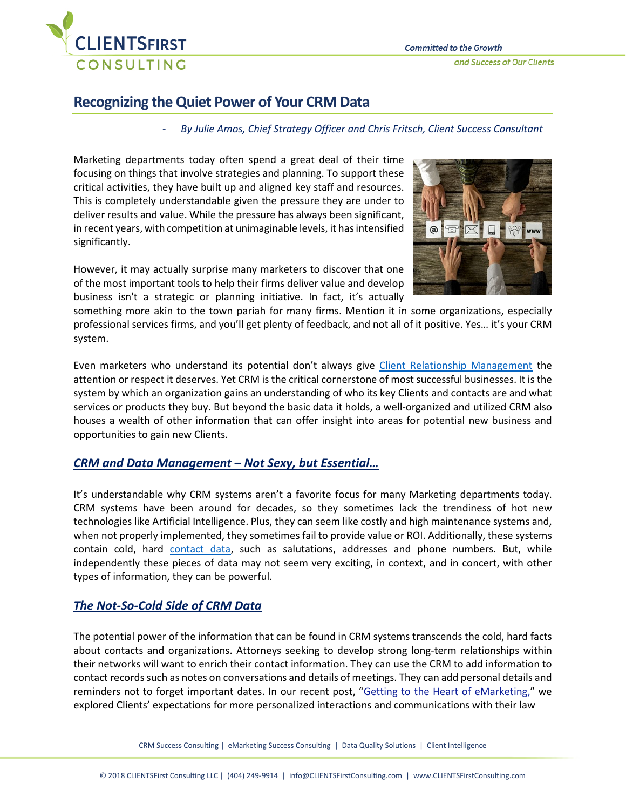

# **Recognizing the Quiet Power of Your CRM Data**

#### - *By Julie Amos, Chief Strategy Officer and Chris Fritsch, Client Success Consultant*

Marketing departments today often spend a great deal of their time focusing on things that involve strategies and planning. To support these critical activities, they have built up and aligned key staff and resources. This is completely understandable given the pressure they are under to deliver results and value. While the pressure has always been significant, in recent years, with competition at unimaginable levels, it has intensified significantly.

However, it may actually surprise many marketers to discover that one of the most important tools to help their firms deliver value and develop business isn't a strategic or planning initiative. In fact, it's actually



something more akin to the town pariah for many firms. Mention it in some organizations, especially professional services firms, and you'll get plenty of feedback, and not all of it positive. Yes… it's your CRM system.

Even marketers who understand its potential don't always give [Client Relationship Management](https://clientsfirstconsulting.com/services/client-relationship-management/) the attention or respect it deserves. Yet CRM is the critical cornerstone of most successful businesses. It is the system by which an organization gains an understanding of who its key Clients and contacts are and what services or products they buy. But beyond the basic data it holds, a well-organized and utilized CRM also houses a wealth of other information that can offer insight into areas for potential new business and opportunities to gain new Clients.

## *CRM and Data Management – Not Sexy, but Essential…*

It's understandable why CRM systems aren't a favorite focus for many Marketing departments today. CRM systems have been around for decades, so they sometimes lack the trendiness of hot new technologies like Artificial Intelligence. Plus, they can seem like costly and high maintenance systems and, when not properly implemented, they sometimes fail to provide value or ROI. Additionally, these systems contain cold, hard [contact](https://clientsfirstconsulting.com/services/data-quality-solutions/) data, such as salutations, addresses and phone numbers. But, while independently these pieces of data may not seem very exciting, in context, and in concert, with other types of information, they can be powerful.

## *The Not-So-Cold Side of CRM Data*

The potential power of the information that can be found in CRM systems transcends the cold, hard facts about contacts and organizations. Attorneys seeking to develop strong long-term relationships within their networks will want to enrich their contact information. They can use the CRM to add information to contact records such as notes on conversations and details of meetings. They can add personal details and reminders not to forget important dates. In our recent post, ["Getting to the Heart of eMarketing,](https://clientsfirstconsulting.us1.list-manage.com/track/click?u=a03bb332d81569e2334480296&id=f5a5f464f5&e=4b84bcee5f)" we explored Clients' expectations for more personalized interactions and communications with their law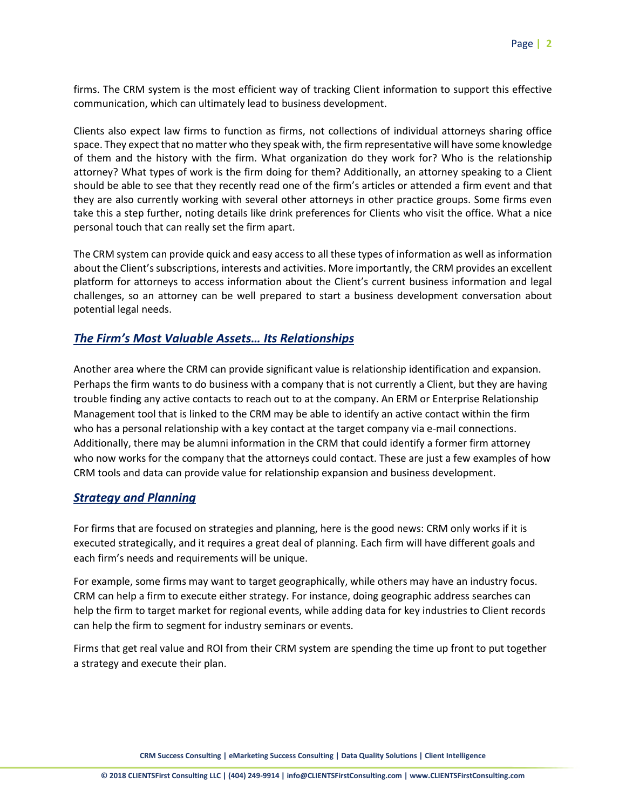firms. The CRM system is the most efficient way of tracking Client information to support this effective communication, which can ultimately lead to business development.

Clients also expect law firms to function as firms, not collections of individual attorneys sharing office space. They expect that no matter who they speak with, the firm representative will have some knowledge of them and the history with the firm. What organization do they work for? Who is the relationship attorney? What types of work is the firm doing for them? Additionally, an attorney speaking to a Client should be able to see that they recently read one of the firm's articles or attended a firm event and that they are also currently working with several other attorneys in other practice groups. Some firms even take this a step further, noting details like drink preferences for Clients who visit the office. What a nice personal touch that can really set the firm apart.

The CRM system can provide quick and easy access to all these types of information as well as information about the Client's subscriptions, interests and activities. More importantly, the CRM provides an excellent platform for attorneys to access information about the Client's current business information and legal challenges, so an attorney can be well prepared to start a business development conversation about potential legal needs.

## *The Firm's Most Valuable Assets… Its Relationships*

Another area where the CRM can provide significant value is relationship identification and expansion. Perhaps the firm wants to do business with a company that is not currently a Client, but they are having trouble finding any active contacts to reach out to at the company. An ERM or Enterprise Relationship Management tool that is linked to the CRM may be able to identify an active contact within the firm who has a personal relationship with a key contact at the target company via e-mail connections. Additionally, there may be alumni information in the CRM that could identify a former firm attorney who now works for the company that the attorneys could contact. These are just a few examples of how CRM tools and data can provide value for relationship expansion and business development.

## *Strategy and Planning*

For firms that are focused on strategies and planning, here is the good news: CRM only works if it is executed strategically, and it requires a great deal of planning. Each firm will have different goals and each firm's needs and requirements will be unique.

For example, some firms may want to target geographically, while others may have an industry focus. CRM can help a firm to execute either strategy. For instance, doing geographic address searches can help the firm to target market for regional events, while adding data for key industries to Client records can help the firm to segment for industry seminars or events.

Firms that get real value and ROI from their CRM system are spending the time up front to put together a strategy and execute their plan.

**CRM Success Consulting | eMarketing Success Consulting | Data Quality Solutions | Client Intelligence**